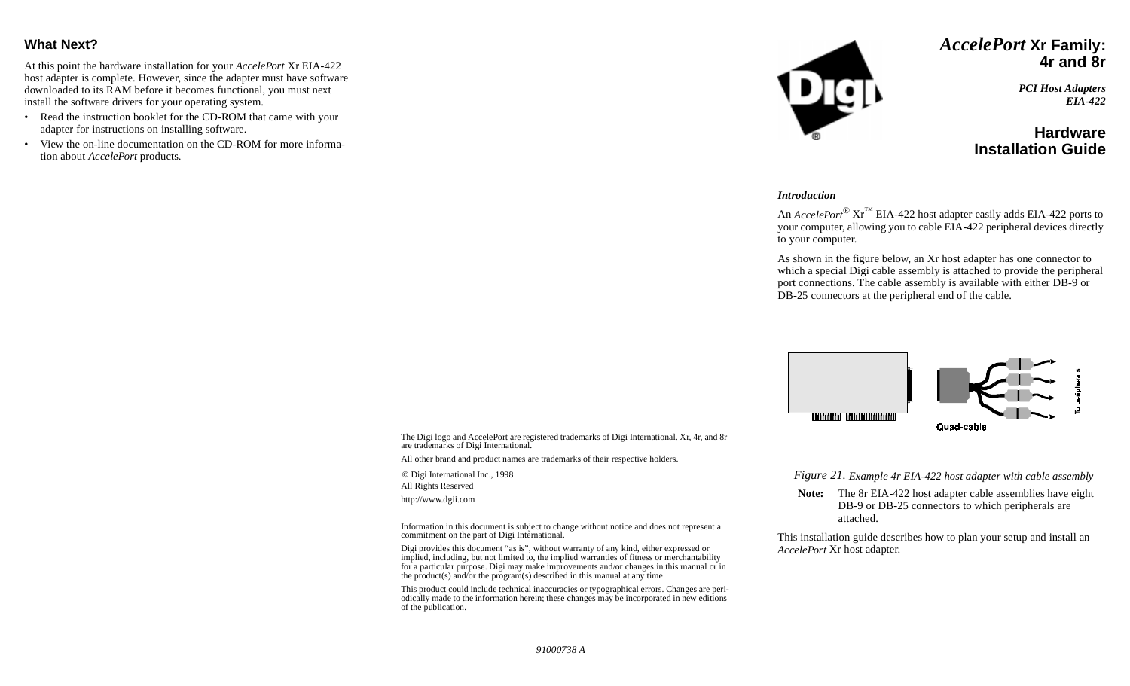### **What Next?**

At this point the hardware installation for your *AccelePort* Xr EIA-422 host adapter is complete. However, since the adapter must have software downloaded to its RAM before it becomes functional, you must next install the software drivers for your operating system.

- Read the instruction booklet for the CD-ROM that came with your adapter for instructions on installing software.
- View the on-line documentation on the CD-ROM for more information about *AccelePort* products.



## *AccelePort* **Xr Family: 4r and 8r**

*PCI Host Adapters EIA-422*

## **HardwareInstallation Guide**

#### *Introduction*

An *AccelePort*® Xr™ EIA-422 host adapter easily adds EIA-422 ports to your computer, allowing you to cable EIA-422 peripheral devices directly to your computer.

As shown in the figure below, an Xr host adapter has one connector to which a special Digi cable assembly is attached to provide the peripheral port connections. The cable assembly is available with either DB-9 or DB-25 connectors at the peripheral end of the cable.



The Digi logo and AccelePort are registered trademarks of Digi International. Xr, 4r, and 8r are trademarks of Digi International.

All other brand and product names are trademarks of their respective holders.

© Digi International Inc., 1998

All Rights Reserved

http://www.dgii.com

Information in this document is subject to change without notice and does not represent a commitment on the part of Digi International.

Digi provides this document "as is", without warranty of any kind, either expressed or implied, including, but not limited to, the implied warranties of fitness or merchantability for a particular purpose. Digi may make improvements and/or changes in this manual or in the product(s) and/or the program(s) described in this manual at any time.

This product could include technical inaccuracies or typographical errors. Changes are periodically made to the information herein; these changes may be incorporated in new editions of the publication.

*Figure 21. Example 4r EIA-422 host adapter with cable assembly*

**Note:** The 8r EIA-422 host adapter cable assemblies have eight DB-9 or DB-25 connectors to which peripherals are attached.

This installation guide describes how to plan your setup and install an *AccelePort* Xr host adapter.